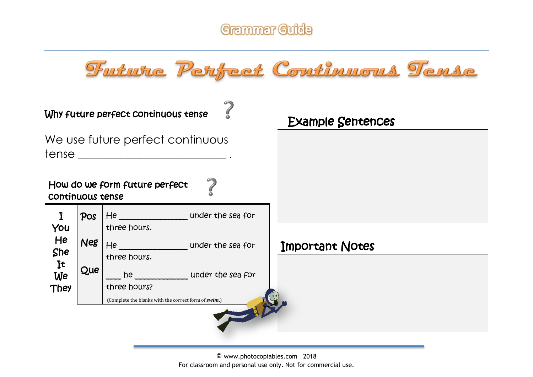



|                         |            | Why future perfect continuous tense                        | <b>Example Sentences</b> |  |
|-------------------------|------------|------------------------------------------------------------|--------------------------|--|
|                         |            | We use future perfect continuous                           |                          |  |
| <b>CONTINUOUS TENSE</b> |            | How do we form future perfect                              |                          |  |
| $\bf{I}$<br>You         | Pos        | He ______________________under the sea for<br>three hours. |                          |  |
| He<br>She               | <b>Neg</b> | He and the sea for<br>three hours.                         | Important Notes          |  |
| <b>It</b><br>We<br>They | Que        | he contract the sea for<br>three hours?                    |                          |  |
|                         |            | (Complete the blanks with the correct form of swim.)       |                          |  |
|                         |            |                                                            | 一                        |  |

© www.photocopiables.com 2018 For classroom and personal use only. Not for commercial use.